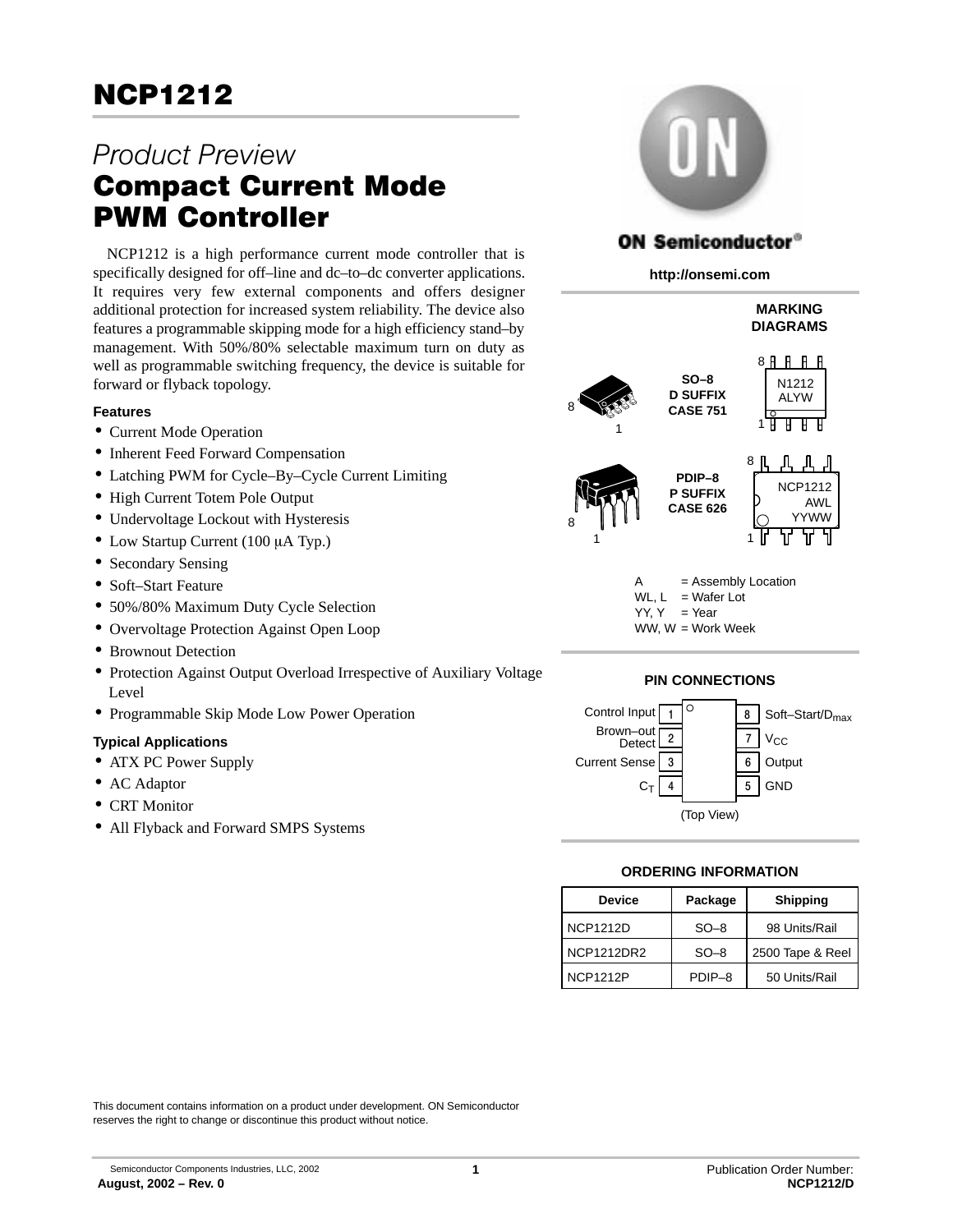# Product Preview Compact Current Mode PWM Controller

NCP1212 is a high performance current mode controller that is specifically designed for off–line and dc–to–dc converter applications. It requires very few external components and offers designer additional protection for increased system reliability. The device also features a programmable skipping mode for a high efficiency stand–by management. With 50%/80% selectable maximum turn on duty as well as programmable switching frequency, the device is suitable for forward or flyback topology.

## **Features**

- Current Mode Operation
- Inherent Feed Forward Compensation
- Latching PWM for Cycle–By–Cycle Current Limiting
- High Current Totem Pole Output
- Undervoltage Lockout with Hysteresis
- Low Startup Current (100 µA Typ.)
- Secondary Sensing
- Soft–Start Feature
- 50%/80% Maximum Duty Cycle Selection
- Overvoltage Protection Against Open Loop
- Brownout Detection
- Protection Against Output Overload Irrespective of Auxiliary Voltage Level
- Programmable Skip Mode Low Power Operation

## **Typical Applications**

- ATX PC Power Supply
- AC Adaptor
- CRT Monitor
- All Flyback and Forward SMPS Systems



## **ON Semiconductor®**

**http://onsemi.com**



- = Assembly Location WL,  $L = Water$  Lot  $YY. Y = Year$
- WW, W = Work Week





## **ORDERING INFORMATION**

| <b>Device</b>     | Package | <b>Shipping</b>  |
|-------------------|---------|------------------|
| <b>NCP1212D</b>   | $SO-8$  | 98 Units/Rail    |
| <b>NCP1212DR2</b> | $SO-8$  | 2500 Tape & Reel |
| <b>NCP1212P</b>   | PDIP-8  | 50 Units/Rail    |

This document contains information on a product under development. ON Semiconductor reserves the right to change or discontinue this product without notice.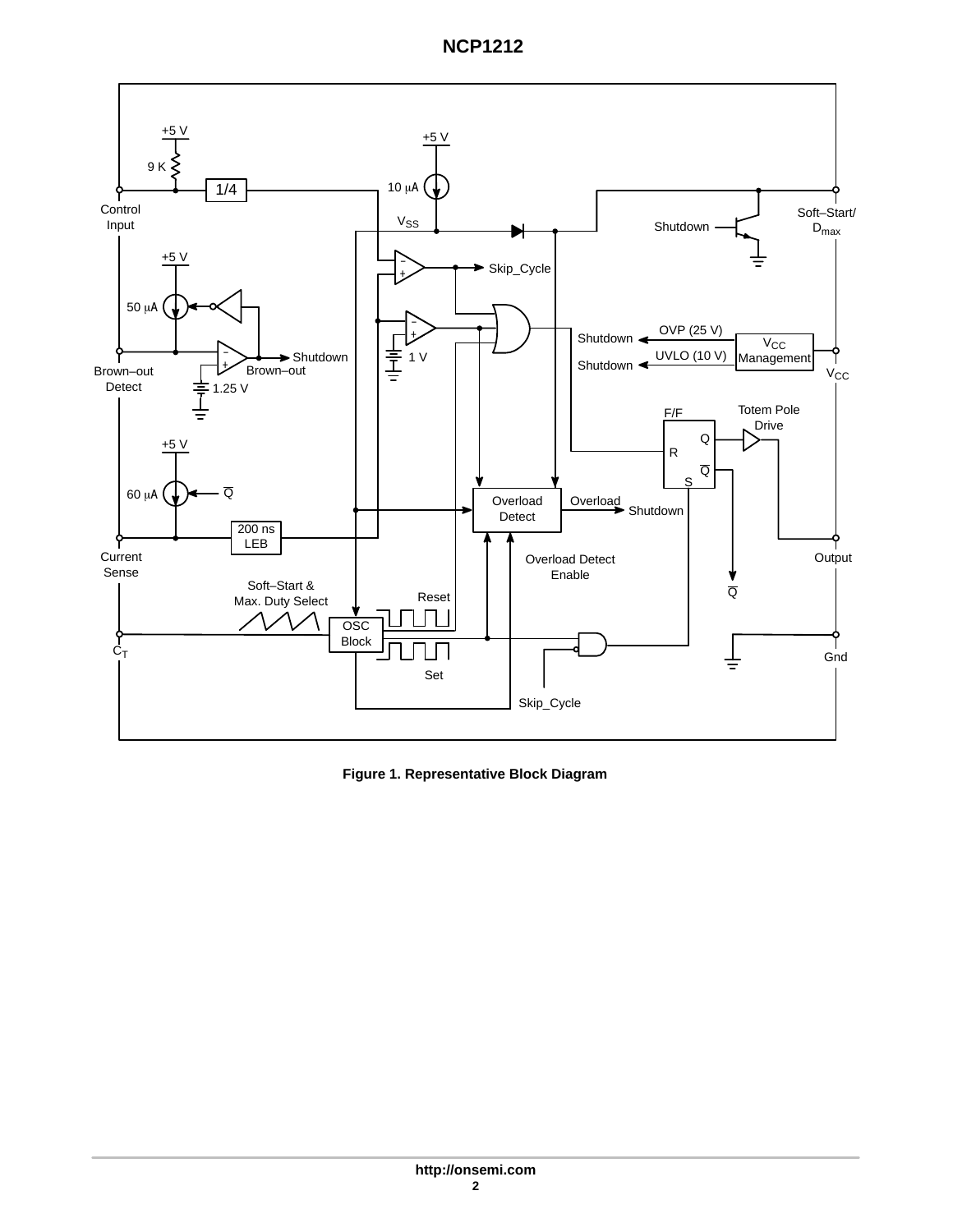



**Figure 1. Representative Block Diagram**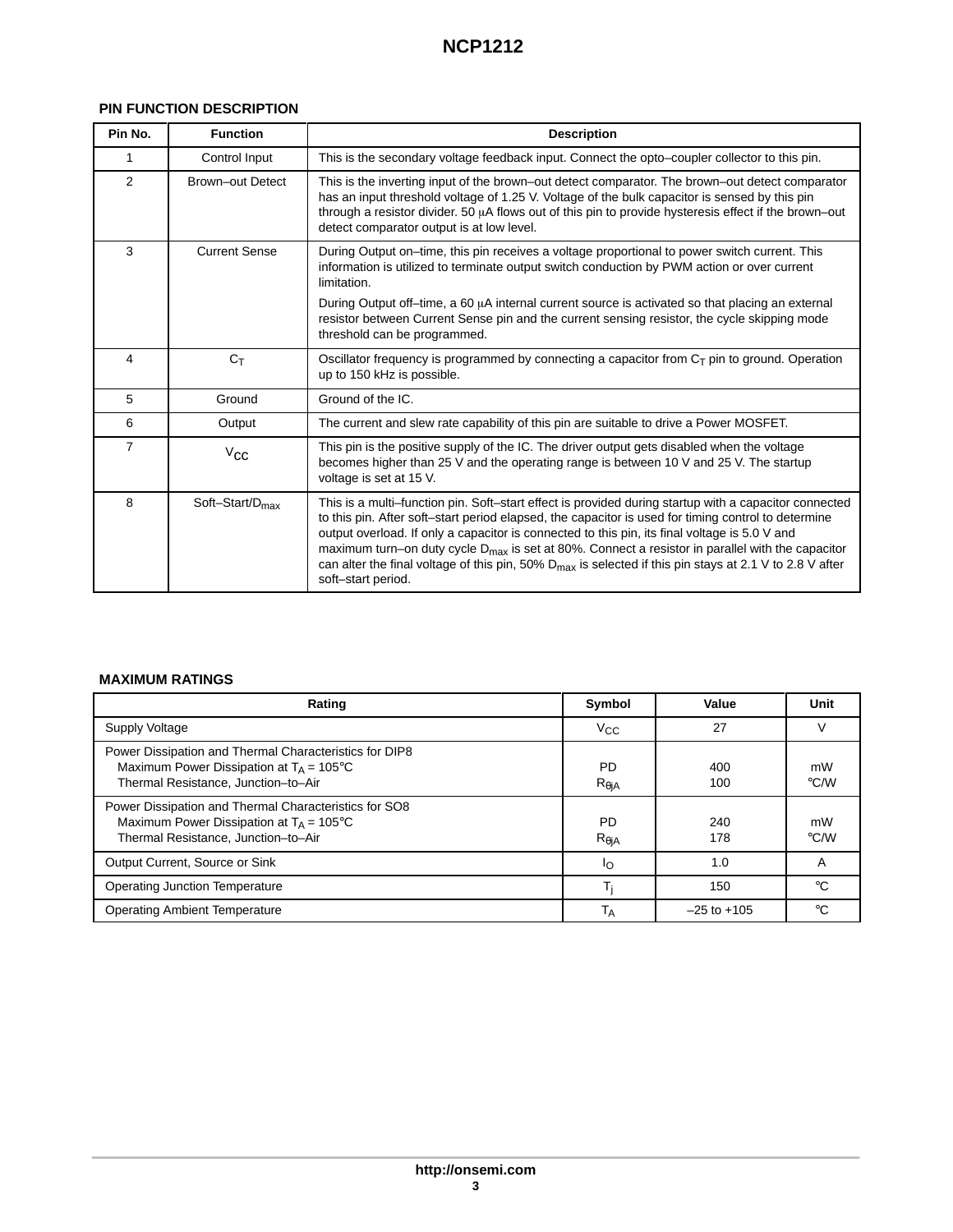## **PIN FUNCTION DESCRIPTION**

| Pin No.        | <b>Function</b>             | <b>Description</b>                                                                                                                                                                                                                                                                                                                                                                                                                                                                                                                                                  |
|----------------|-----------------------------|---------------------------------------------------------------------------------------------------------------------------------------------------------------------------------------------------------------------------------------------------------------------------------------------------------------------------------------------------------------------------------------------------------------------------------------------------------------------------------------------------------------------------------------------------------------------|
|                | Control Input               | This is the secondary voltage feedback input. Connect the opto-coupler collector to this pin.                                                                                                                                                                                                                                                                                                                                                                                                                                                                       |
| 2              | <b>Brown-out Detect</b>     | This is the inverting input of the brown-out detect comparator. The brown-out detect comparator<br>has an input threshold voltage of 1.25 V. Voltage of the bulk capacitor is sensed by this pin<br>through a resistor divider. 50 µA flows out of this pin to provide hysteresis effect if the brown-out<br>detect comparator output is at low level.                                                                                                                                                                                                              |
| 3              | <b>Current Sense</b>        | During Output on-time, this pin receives a voltage proportional to power switch current. This<br>information is utilized to terminate output switch conduction by PWM action or over current<br>limitation.                                                                                                                                                                                                                                                                                                                                                         |
|                |                             | During Output of f-time, a 60 $\mu$ A internal current source is activated so that placing an external<br>resistor between Current Sense pin and the current sensing resistor, the cycle skipping mode<br>threshold can be programmed.                                                                                                                                                                                                                                                                                                                              |
| 4              | $C_T$                       | Oscillator frequency is programmed by connecting a capacitor from $C_T$ pin to ground. Operation<br>up to 150 kHz is possible.                                                                                                                                                                                                                                                                                                                                                                                                                                      |
| 5              | Ground                      | Ground of the IC.                                                                                                                                                                                                                                                                                                                                                                                                                                                                                                                                                   |
| 6              | Output                      | The current and slew rate capability of this pin are suitable to drive a Power MOSFET.                                                                                                                                                                                                                                                                                                                                                                                                                                                                              |
| $\overline{7}$ | $V_{\mathbf{CC}}$           | This pin is the positive supply of the IC. The driver output gets disabled when the voltage<br>becomes higher than 25 V and the operating range is between 10 V and 25 V. The startup<br>voltage is set at 15 V.                                                                                                                                                                                                                                                                                                                                                    |
| 8              | Soft-Start/D <sub>max</sub> | This is a multi-function pin. Soft-start effect is provided during startup with a capacitor connected<br>to this pin. After soft-start period elapsed, the capacitor is used for timing control to determine<br>output overload. If only a capacitor is connected to this pin, its final voltage is 5.0 V and<br>maximum turn–on duty cycle $D_{\text{max}}$ is set at 80%. Connect a resistor in parallel with the capacitor<br>can alter the final voltage of this pin, 50% $D_{max}$ is selected if this pin stays at 2.1 V to 2.8 V after<br>soft-start period. |

## **MAXIMUM RATINGS**

| Rating                                                                                                                                             | Symbol                                 | Value           | Unit          |
|----------------------------------------------------------------------------------------------------------------------------------------------------|----------------------------------------|-----------------|---------------|
| Supply Voltage                                                                                                                                     | $V_{\rm CC}$                           | 27              | $\mathcal{L}$ |
| Power Dissipation and Thermal Characteristics for DIP8<br>Maximum Power Dissipation at $T_A = 105^{\circ}C$<br>Thermal Resistance, Junction-to-Air | <b>PD</b><br>$R_{\theta \mathsf{i} A}$ | 400<br>100      | mW<br>°C/W    |
| Power Dissipation and Thermal Characteristics for SO8<br>Maximum Power Dissipation at $T_A = 105^{\circ}C$<br>Thermal Resistance, Junction-to-Air  | <b>PD</b><br>$R_{\theta}$ j $A$        | 240<br>178      | mW<br>°C/W    |
| Output Current, Source or Sink                                                                                                                     | In                                     | 1.0             | $\mathsf{A}$  |
| <b>Operating Junction Temperature</b>                                                                                                              |                                        | 150             | $^{\circ}$ C  |
| <b>Operating Ambient Temperature</b>                                                                                                               | ΙA                                     | $-25$ to $+105$ | $^{\circ}$ C  |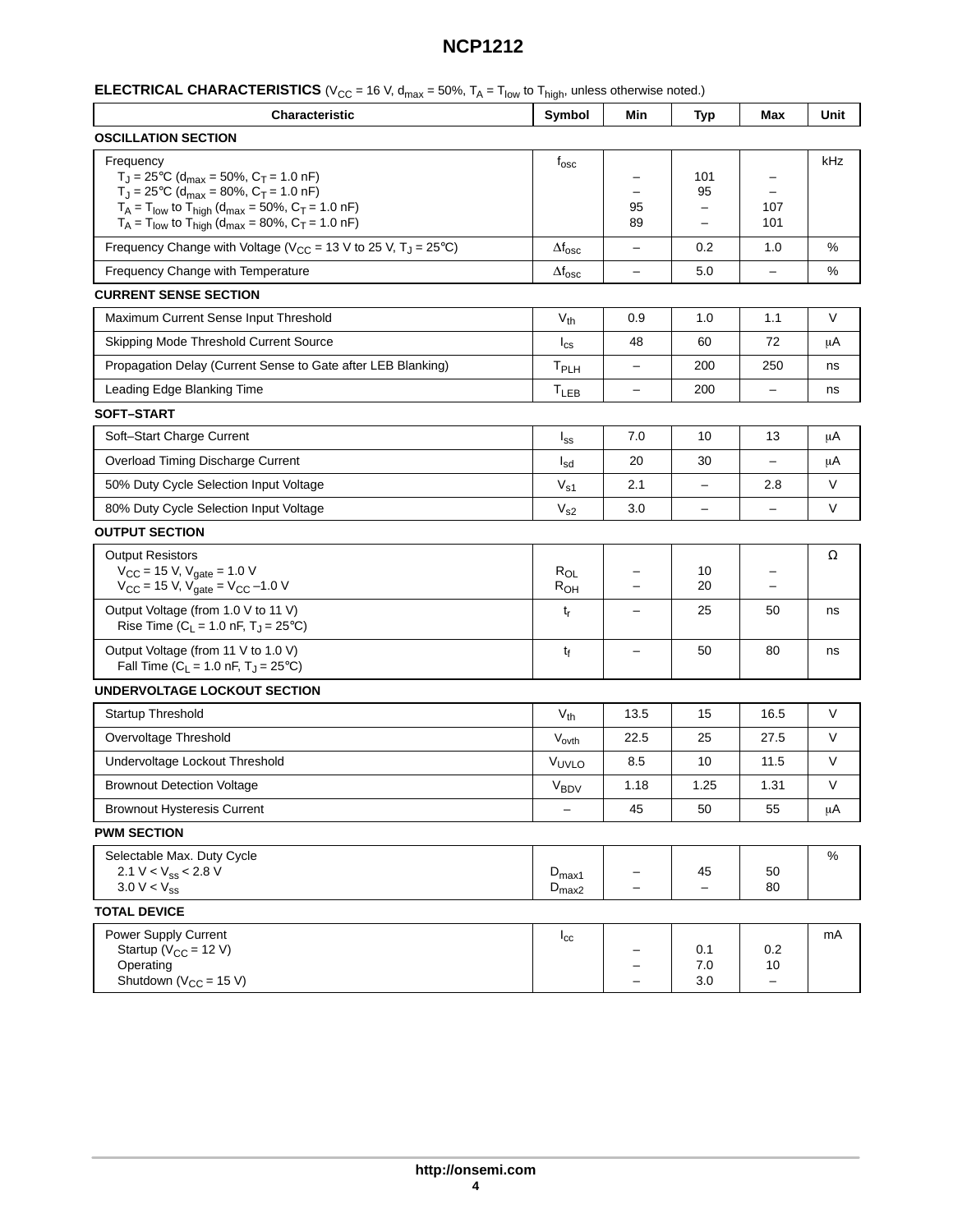| <b>ELECTRICAL CHARACTERISTICS</b> ( $V_{CC}$ = 16 V, $d_{max}$ = 50%, $T_A$ = $T_{low}$ to $T_{high}$ , unless otherwise noted.) |  |  |  |  |  |
|----------------------------------------------------------------------------------------------------------------------------------|--|--|--|--|--|
|----------------------------------------------------------------------------------------------------------------------------------|--|--|--|--|--|

| Characteristic                                                                                                                                                                                                                                                                                                  | Symbol                                 | Min               | <b>Typ</b>                                                 | Max                            | Unit |  |  |
|-----------------------------------------------------------------------------------------------------------------------------------------------------------------------------------------------------------------------------------------------------------------------------------------------------------------|----------------------------------------|-------------------|------------------------------------------------------------|--------------------------------|------|--|--|
| <b>OSCILLATION SECTION</b>                                                                                                                                                                                                                                                                                      |                                        |                   |                                                            |                                |      |  |  |
| Frequency<br>$T_J = 25^{\circ}C$ (d <sub>max</sub> = 50%, $C_T = 1.0$ nF)<br>$T_J = 25^{\circ}C$ (d <sub>max</sub> = 80%, C <sub>T</sub> = 1.0 nF)<br>$T_A = T_{low}$ to $T_{high}$ (d <sub>max</sub> = 50%, C <sub>T</sub> = 1.0 nF)<br>$T_A = T_{low}$ to $T_{high}$ (d <sub>max</sub> = 80%, $C_T = 1.0$ nF) | $f_{\rm osc}$                          | 95<br>89          | 101<br>95<br>$\qquad \qquad -$<br>$\overline{\phantom{0}}$ | 107<br>101                     | kHz  |  |  |
| Frequency Change with Voltage ( $V_{CC}$ = 13 V to 25 V, T <sub>J</sub> = 25°C)                                                                                                                                                                                                                                 | $\Delta f_{\rm osc}$                   | -                 | 0.2                                                        | 1.0                            | %    |  |  |
| Frequency Change with Temperature                                                                                                                                                                                                                                                                               | $\Delta f_{\rm osc}$                   | $\qquad \qquad -$ | 5.0                                                        | $\qquad \qquad -$              | %    |  |  |
| <b>CURRENT SENSE SECTION</b>                                                                                                                                                                                                                                                                                    |                                        |                   |                                                            |                                |      |  |  |
| Maximum Current Sense Input Threshold                                                                                                                                                                                                                                                                           | $V_{th}$                               | 0.9               | 1.0                                                        | 1.1                            | V    |  |  |
| Skipping Mode Threshold Current Source                                                                                                                                                                                                                                                                          | $I_{\text{cs}}$                        | 48                | 60                                                         | 72                             | μA   |  |  |
| Propagation Delay (Current Sense to Gate after LEB Blanking)                                                                                                                                                                                                                                                    | T <sub>PLH</sub>                       | $\qquad \qquad -$ | 200                                                        | 250                            | ns   |  |  |
| Leading Edge Blanking Time                                                                                                                                                                                                                                                                                      | $T_{LEB}$                              |                   | 200                                                        |                                | ns   |  |  |
| <b>SOFT-START</b>                                                                                                                                                                                                                                                                                               |                                        |                   |                                                            |                                |      |  |  |
| Soft-Start Charge Current                                                                                                                                                                                                                                                                                       | $I_{SS}$                               | 7.0               | 10                                                         | 13                             | μA   |  |  |
| Overload Timing Discharge Current                                                                                                                                                                                                                                                                               | $I_{sd}$                               | 20                | 30                                                         | $\overline{\phantom{0}}$       | μA   |  |  |
| 50% Duty Cycle Selection Input Voltage                                                                                                                                                                                                                                                                          | $V_{s1}$                               | 2.1               | -                                                          | 2.8                            | V    |  |  |
| 80% Duty Cycle Selection Input Voltage                                                                                                                                                                                                                                                                          | V <sub>s2</sub>                        | 3.0               | $\overline{\phantom{0}}$                                   |                                | V    |  |  |
| <b>OUTPUT SECTION</b>                                                                                                                                                                                                                                                                                           |                                        |                   |                                                            |                                |      |  |  |
| <b>Output Resistors</b><br>$V_{CC}$ = 15 V, $V_{gate}$ = 1.0 V<br>$V_{CC}$ = 15 V, $V_{gate}$ = $V_{CC}$ -1.0 V                                                                                                                                                                                                 | $R_{OL}$<br>$R_{OH}$                   |                   | 10<br>20                                                   |                                | Ω    |  |  |
| Output Voltage (from 1.0 V to 11 V)<br>Rise Time ( $C_L$ = 1.0 nF, T <sub>J</sub> = 25°C)                                                                                                                                                                                                                       | tŗ                                     |                   | 25                                                         | 50                             | ns   |  |  |
| Output Voltage (from 11 V to 1.0 V)<br>Fall Time ( $C_L$ = 1.0 nF, $T_J$ = 25°C)                                                                                                                                                                                                                                | t <sub>f</sub>                         |                   | 50                                                         | 80                             | ns   |  |  |
| UNDERVOLTAGE LOCKOUT SECTION                                                                                                                                                                                                                                                                                    |                                        |                   |                                                            |                                |      |  |  |
| Startup Threshold                                                                                                                                                                                                                                                                                               | $V_{th}$                               | 13.5              | 15                                                         | 16.5                           | V    |  |  |
| Overvoltage Threshold                                                                                                                                                                                                                                                                                           | V <sub>ovth</sub>                      | 22.5              | 25                                                         | 27.5                           | V    |  |  |
| Undervoltage Lockout Threshold                                                                                                                                                                                                                                                                                  | VUVLO                                  | 8.5               | 10                                                         | 11.5                           | V    |  |  |
| <b>Brownout Detection Voltage</b>                                                                                                                                                                                                                                                                               | $V_{BDV}$                              | 1.18              | 1.25                                                       | 1.31                           | V    |  |  |
| <b>Brownout Hysteresis Current</b>                                                                                                                                                                                                                                                                              | $\overline{\phantom{0}}$               | 45                | 50                                                         | 55                             | μA   |  |  |
| <b>PWM SECTION</b>                                                                                                                                                                                                                                                                                              |                                        |                   |                                                            |                                |      |  |  |
| Selectable Max. Duty Cycle<br>2.1 V < $V_{SS}$ < 2.8 V<br>$3.0 V < V_{ss}$                                                                                                                                                                                                                                      | $D_{\text{max1}}$<br>$D_{\text{max2}}$ |                   | 45<br>$\overline{\phantom{a}}$                             | 50<br>80                       | %    |  |  |
| <b>TOTAL DEVICE</b>                                                                                                                                                                                                                                                                                             |                                        |                   |                                                            |                                |      |  |  |
| Power Supply Current<br>Startup ( $V_{CC}$ = 12 V)<br>Operating<br>Shutdown ( $V_{CC}$ = 15 V)                                                                                                                                                                                                                  | $I_{\rm cc}$                           |                   | 0.1<br>7.0<br>3.0                                          | 0.2<br>10<br>$\qquad \qquad -$ | mA   |  |  |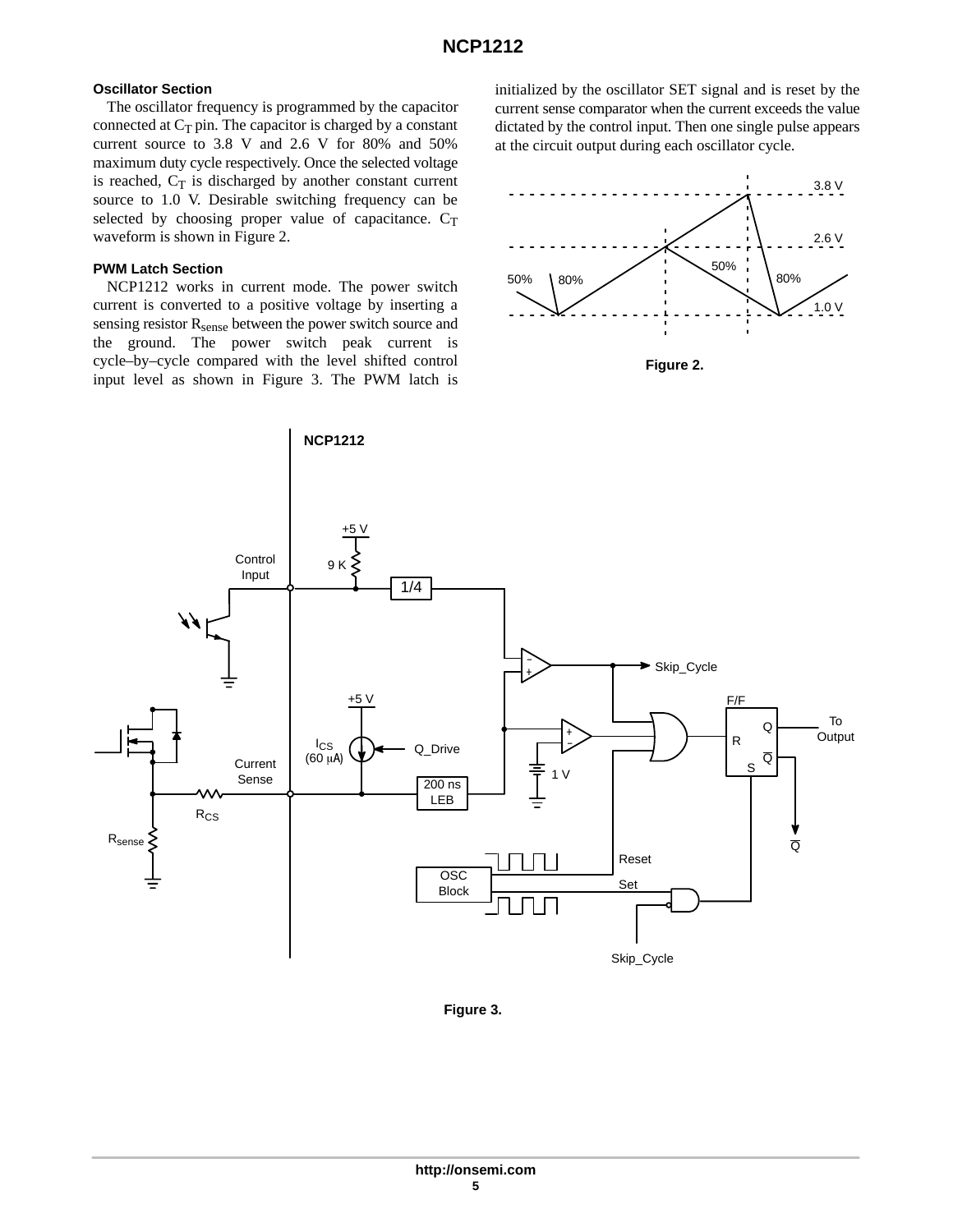## **Oscillator Section**

The oscillator frequency is programmed by the capacitor connected at  $C_T$  pin. The capacitor is charged by a constant current source to 3.8 V and 2.6 V for 80% and 50% maximum duty cycle respectively. Once the selected voltage is reached,  $C_T$  is discharged by another constant current source to 1.0 V. Desirable switching frequency can be selected by choosing proper value of capacitance.  $C_T$ waveform is shown in Figure 2.

## **PWM Latch Section**

NCP1212 works in current mode. The power switch current is converted to a positive voltage by inserting a sensing resistor R<sub>sense</sub> between the power switch source and the ground. The power switch peak current is cycle–by–cycle compared with the level shifted control input level as shown in Figure 3. The PWM latch is initialized by the oscillator SET signal and is reset by the current sense comparator when the current exceeds the value dictated by the control input. Then one single pulse appears at the circuit output during each oscillator cycle.



**Figure 2.** 



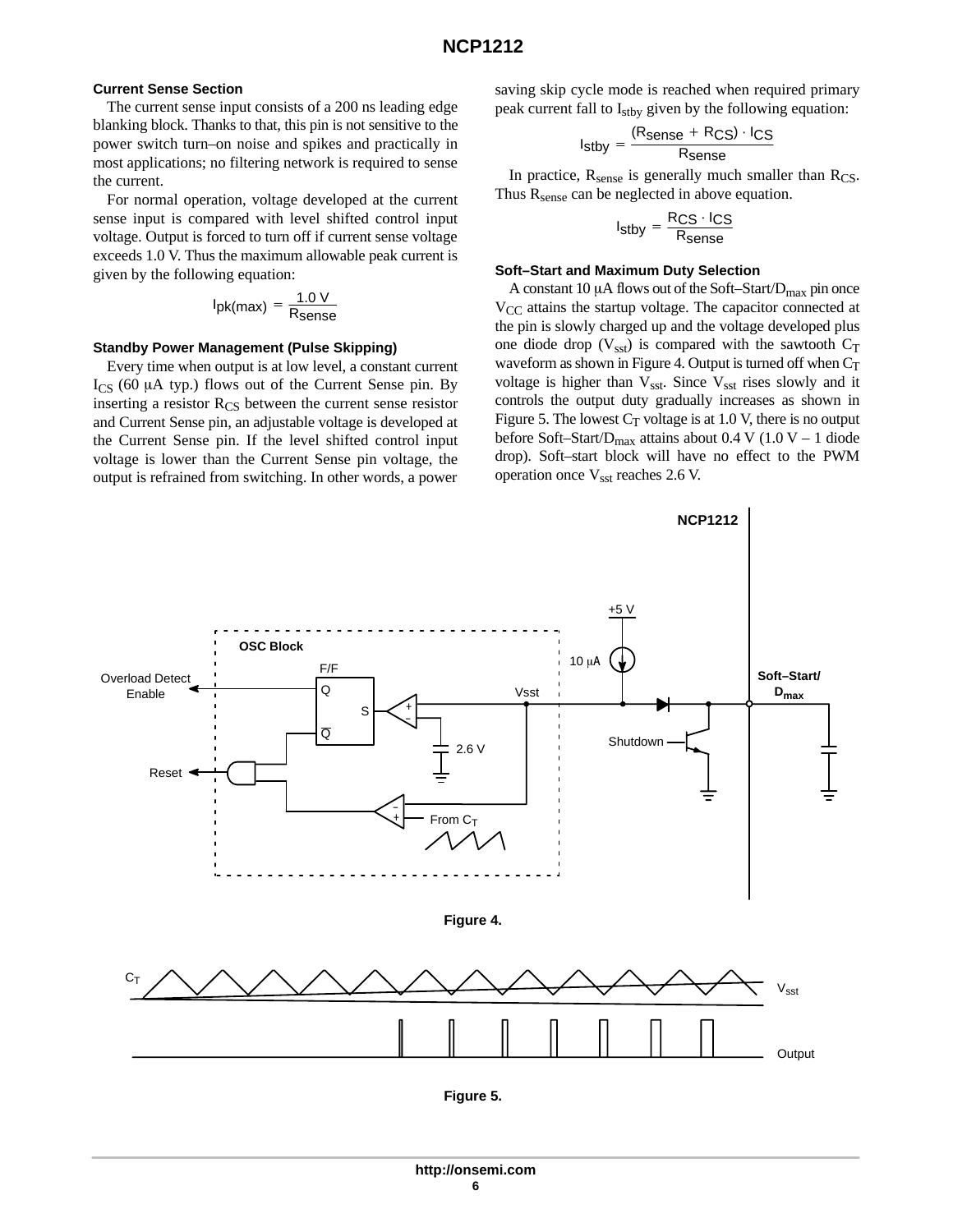### **Current Sense Section**

The current sense input consists of a 200 ns leading edge blanking block. Thanks to that, this pin is not sensitive to the power switch turn–on noise and spikes and practically in most applications; no filtering network is required to sense the current.

For normal operation, voltage developed at the current sense input is compared with level shifted control input voltage. Output is forced to turn off if current sense voltage exceeds 1.0 V. Thus the maximum allowable peak current is given by the following equation:

$$
I_{pk(max)} = \frac{1.0 V}{R_{sense}}
$$

### **Standby Power Management (Pulse Skipping)**

Every time when output is at low level, a constant current  $I_{CS}$  (60  $\mu$ A typ.) flows out of the Current Sense pin. By inserting a resistor  $R_{CS}$  between the current sense resistor and Current Sense pin, an adjustable voltage is developed at the Current Sense pin. If the level shifted control input voltage is lower than the Current Sense pin voltage, the output is refrained from switching. In other words, a power

saving skip cycle mode is reached when required primary peak current fall to I<sub>stby</sub> given by the following equation:

$$
I_{\text{stby}} = \frac{(R_{\text{sense}} + R_{\text{CS}}) \cdot I_{\text{CS}}}{R_{\text{sense}}}
$$

In practice,  $R_{\text{sense}}$  is generally much smaller than  $R_{\text{CS}}$ . Thus  $R_{\text{sense}}$  can be neglected in above equation.

$$
I_{\text{stby}} = \frac{R_{\text{CS}} \cdot I_{\text{CS}}}{R_{\text{sense}}}
$$

#### **Soft–Start and Maximum Duty Selection**

A constant 10  $\mu$ A flows out of the Soft–Start/ $D_{\text{max}}$  pin once V<sub>CC</sub> attains the startup voltage. The capacitor connected at the pin is slowly charged up and the voltage developed plus one diode drop ( $V_{\text{sst}}$ ) is compared with the sawtooth  $C_T$ waveform as shown in Figure 4. Output is turned off when  $C_T$ voltage is higher than  $V_{\text{sst}}$ . Since  $V_{\text{sst}}$  rises slowly and it controls the output duty gradually increases as shown in Figure 5. The lowest  $C_T$  voltage is at 1.0 V, there is no output before Soft–Start/ $D_{\text{max}}$  attains about 0.4 V (1.0 V – 1 diode drop). Soft–start block will have no effect to the PWM operation once Vsst reaches 2.6 V.

**NCP1212**

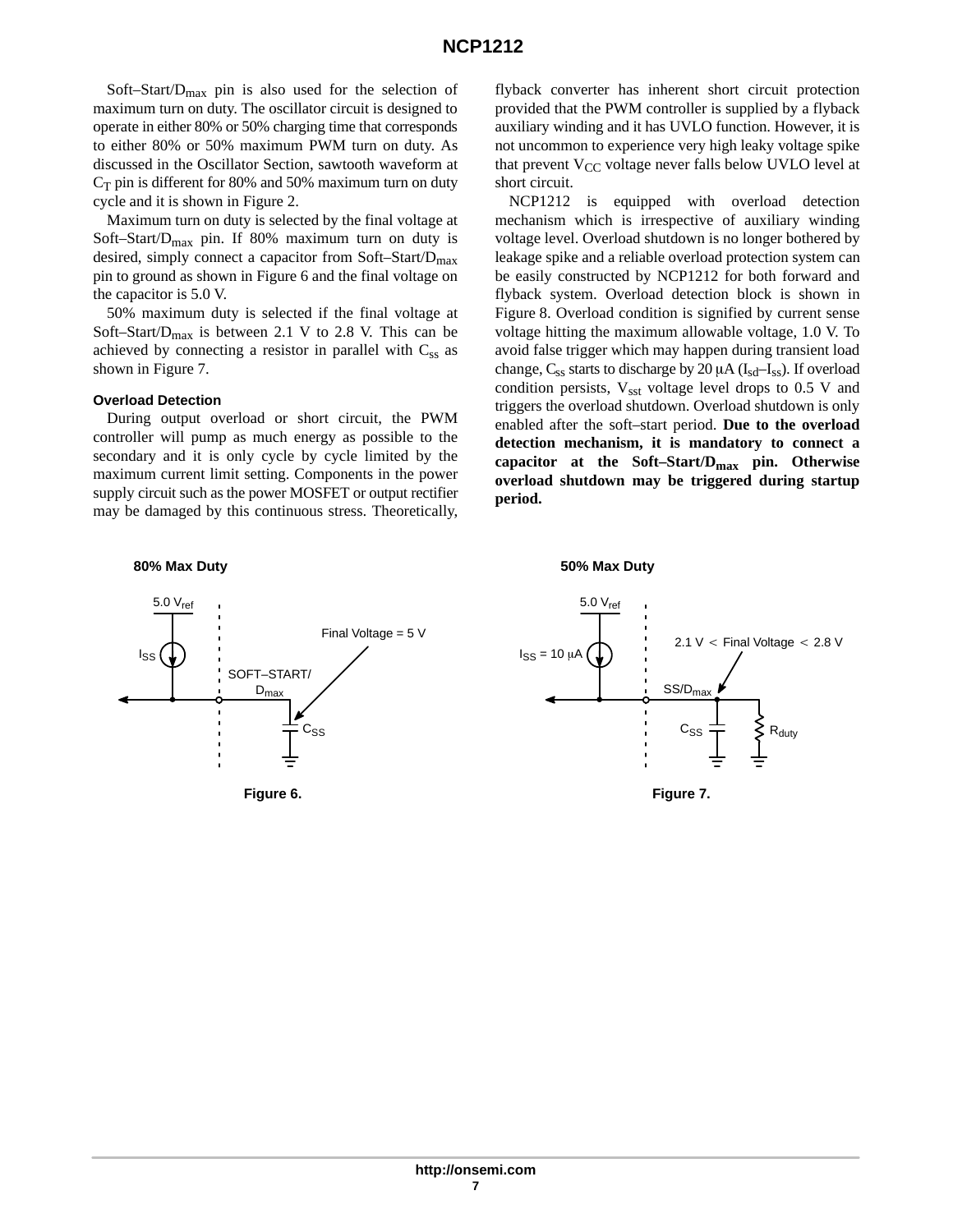Soft–Start/Dmax pin is also used for the selection of maximum turn on duty. The oscillator circuit is designed to operate in either 80% or 50% charging time that corresponds to either 80% or 50% maximum PWM turn on duty. As discussed in the Oscillator Section, sawtooth waveform at  $C_T$  pin is different for 80% and 50% maximum turn on duty cycle and it is shown in Figure 2.

Maximum turn on duty is selected by the final voltage at Soft–Start/ $D_{max}$  pin. If 80% maximum turn on duty is desired, simply connect a capacitor from Soft–Start/ $D_{\text{max}}$ pin to ground as shown in Figure 6 and the final voltage on the capacitor is 5.0 V.

50% maximum duty is selected if the final voltage at Soft–Start/ $D_{\text{max}}$  is between 2.1 V to 2.8 V. This can be achieved by connecting a resistor in parallel with  $C_{ss}$  as shown in Figure 7.

#### **Overload Detection**

During output overload or short circuit, the PWM controller will pump as much energy as possible to the secondary and it is only cycle by cycle limited by the maximum current limit setting. Components in the power supply circuit such as the power MOSFET or output rectifier may be damaged by this continuous stress. Theoretically, flyback converter has inherent short circuit protection provided that the PWM controller is supplied by a flyback auxiliary winding and it has UVLO function. However, it is not uncommon to experience very high leaky voltage spike that prevent  $V_{CC}$  voltage never falls below UVLO level at short circuit.

NCP1212 is equipped with overload detection mechanism which is irrespective of auxiliary winding voltage level. Overload shutdown is no longer bothered by leakage spike and a reliable overload protection system can be easily constructed by NCP1212 for both forward and flyback system. Overload detection block is shown in Figure 8. Overload condition is signified by current sense voltage hitting the maximum allowable voltage, 1.0 V. To avoid false trigger which may happen during transient load change,  $C_{ss}$  starts to discharge by 20  $\mu$ A ( $I_{sd}$ – $I_{ss}$ ). If overload condition persists,  $V_{\text{sst}}$  voltage level drops to 0.5 V and triggers the overload shutdown. Overload shutdown is only enabled after the soft–start period. **Due to the overload detection mechanism, it is mandatory to connect a capacitor at the Soft–Start/Dmax pin. Otherwise overload shutdown may be triggered during startup period.**

#### **80% Max Duty**



**50% Max Duty**



**Figure 7.**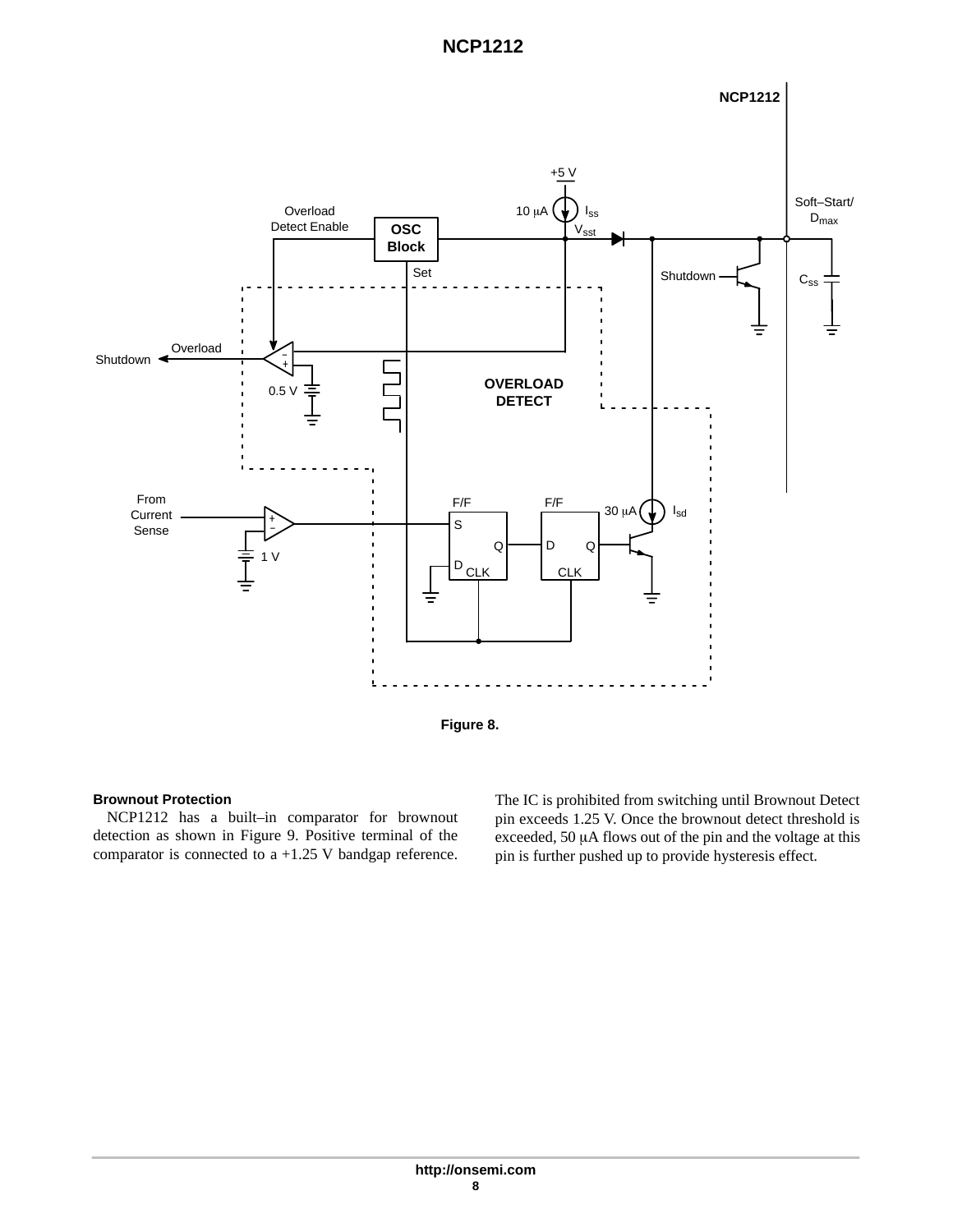



## **Brownout Protection**

NCP1212 has a built–in comparator for brownout detection as shown in Figure 9. Positive terminal of the comparator is connected to a +1.25 V bandgap reference.

The IC is prohibited from switching until Brownout Detect pin exceeds 1.25 V. Once the brownout detect threshold is exceeded,  $50 \mu A$  flows out of the pin and the voltage at this pin is further pushed up to provide hysteresis effect.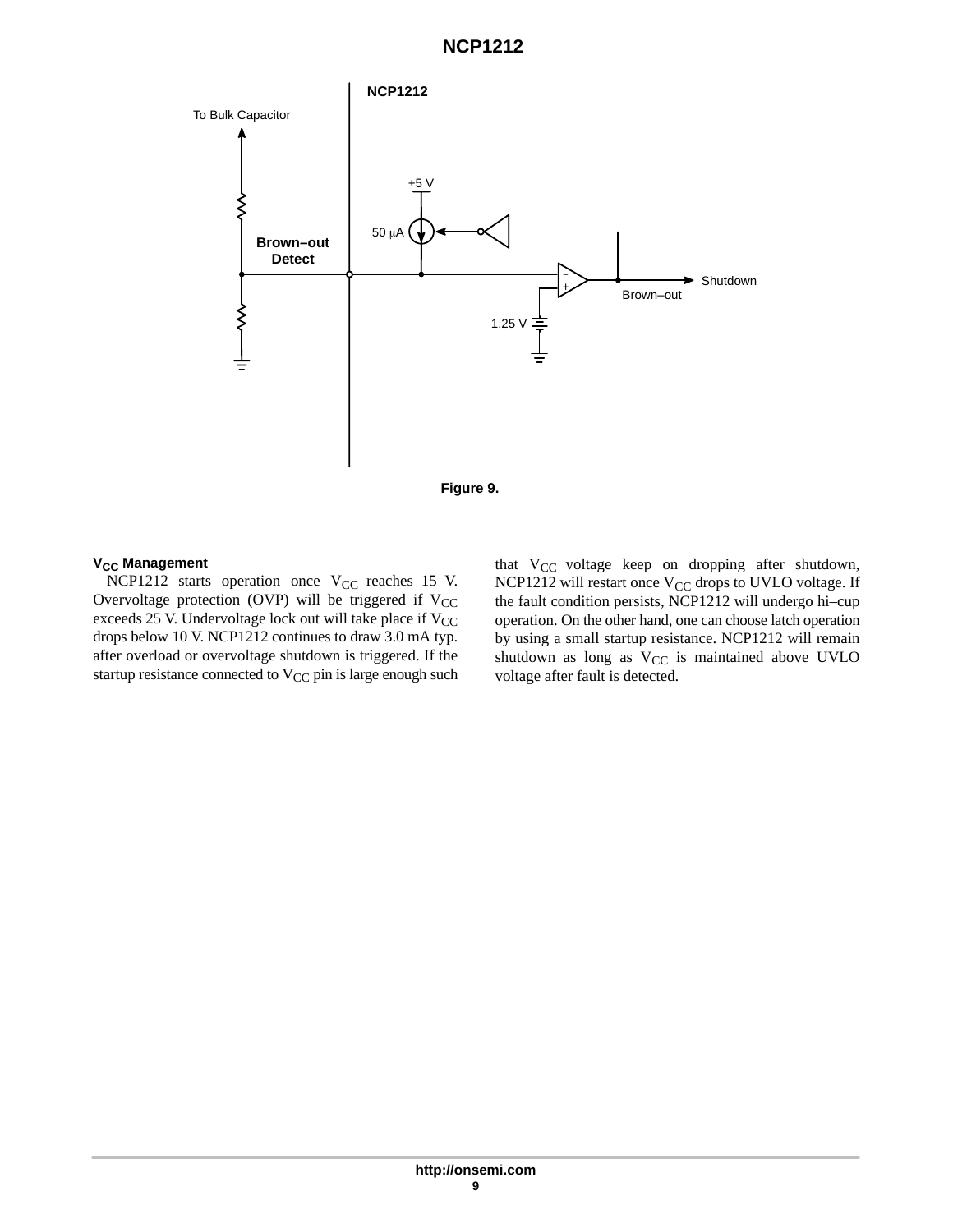

### **V<sub>CC</sub>** Management

NCP1212 starts operation once  $V_{CC}$  reaches 15 V. Overvoltage protection (OVP) will be triggered if  $V_{CC}$ exceeds 25 V. Undervoltage lock out will take place if  $V_{CC}$ drops below 10 V. NCP1212 continues to draw 3.0 mA typ. after overload or overvoltage shutdown is triggered. If the startup resistance connected to V<sub>CC</sub> pin is large enough such that  $V_{CC}$  voltage keep on dropping after shutdown, NCP1212 will restart once V<sub>CC</sub> drops to UVLO voltage. If the fault condition persists, NCP1212 will undergo hi–cup operation. On the other hand, one can choose latch operation by using a small startup resistance. NCP1212 will remain shutdown as long as  $V_{CC}$  is maintained above UVLO voltage after fault is detected.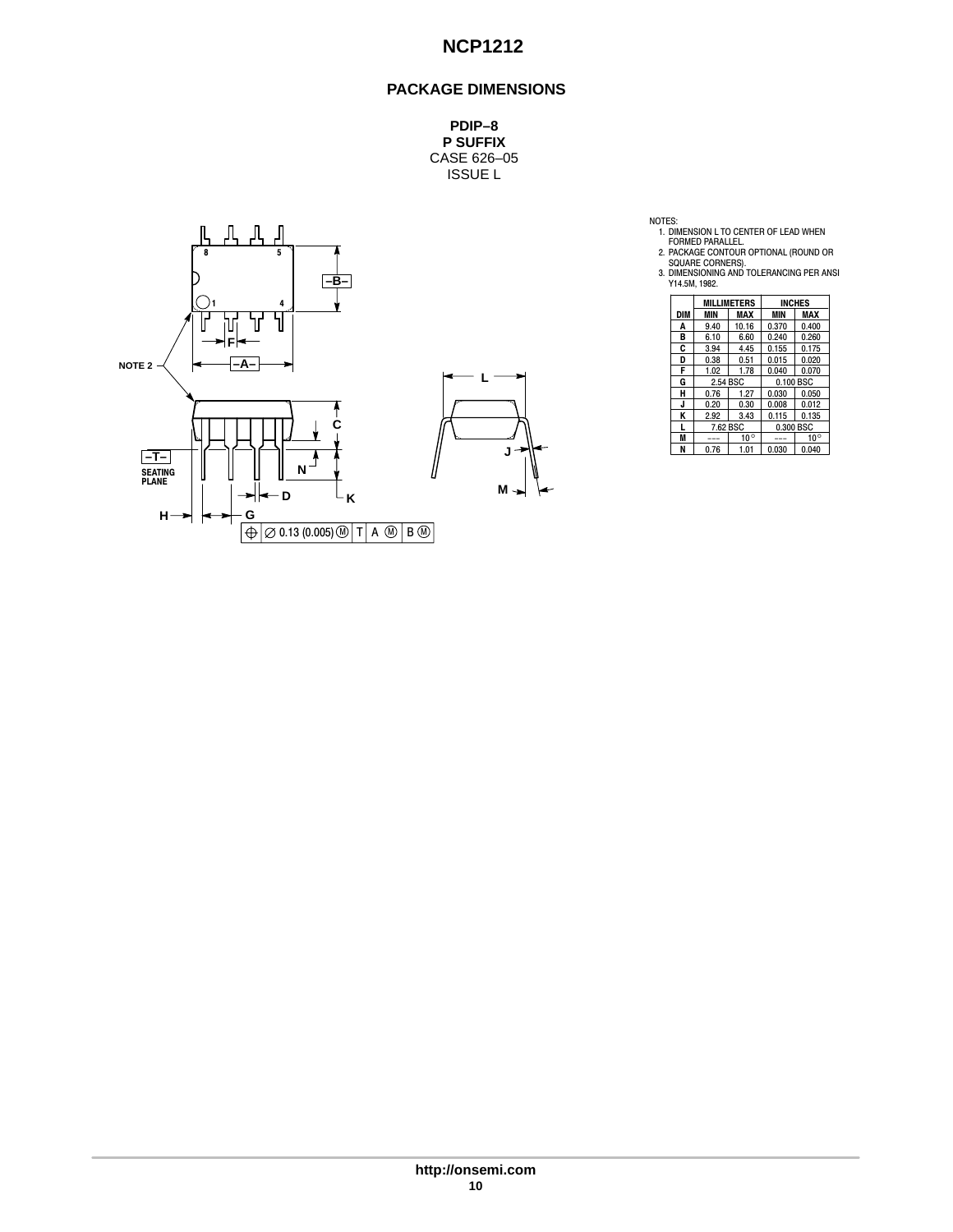## **PACKAGE DIMENSIONS**

**PDIP–8 P SUFFIX** CASE 626–05 ISSUE L



NOTES:<br>
1. DIMENSION L TO CENTER OF LEAD WHEN<br>
FORMED PARALLEL.<br>
2. PACKAGE CONTOUR OPTIONAL (ROUND OR<br>
SQUARE CORNERS).<br>
3. DIMENSIONING AND TOLERANCING PER ANSI<br>
Y14.5M, 1982.

|     |              | <b>MILLIMETERS</b> | <b>INCHES</b> |              |  |  |
|-----|--------------|--------------------|---------------|--------------|--|--|
| DIM | MIN          | MAX                | MIN           | MAX          |  |  |
| A   | 9.40         | 10.16              | 0.370         | 0.400        |  |  |
| в   | 6.10         | 6.60               | 0.240         | 0.260        |  |  |
| C   | 3.94         | 4.45               | 0.155         | 0.175        |  |  |
| D   | 0.38         | 0.51               | 0.015         | 0.020        |  |  |
| F   | 1.02         | 1.78               | 0.040         | 0.070        |  |  |
| G   |              | 2.54 BSC           |               | 0.100 BSC    |  |  |
| н   | 0.76<br>1.27 |                    | 0.030         | 0.050        |  |  |
| J   | 0.20         | 0.30               | 0.008         | 0.012        |  |  |
| Κ   | 2.92         | 3.43               | 0.115         | 0.135        |  |  |
| L   | 7.62 BSC     |                    | 0.300 BSC     |              |  |  |
| M   |              | $10^{\circ}$       |               | $10^{\circ}$ |  |  |
| N   | 0.76         | 1.01               | 0.030         | 0.040        |  |  |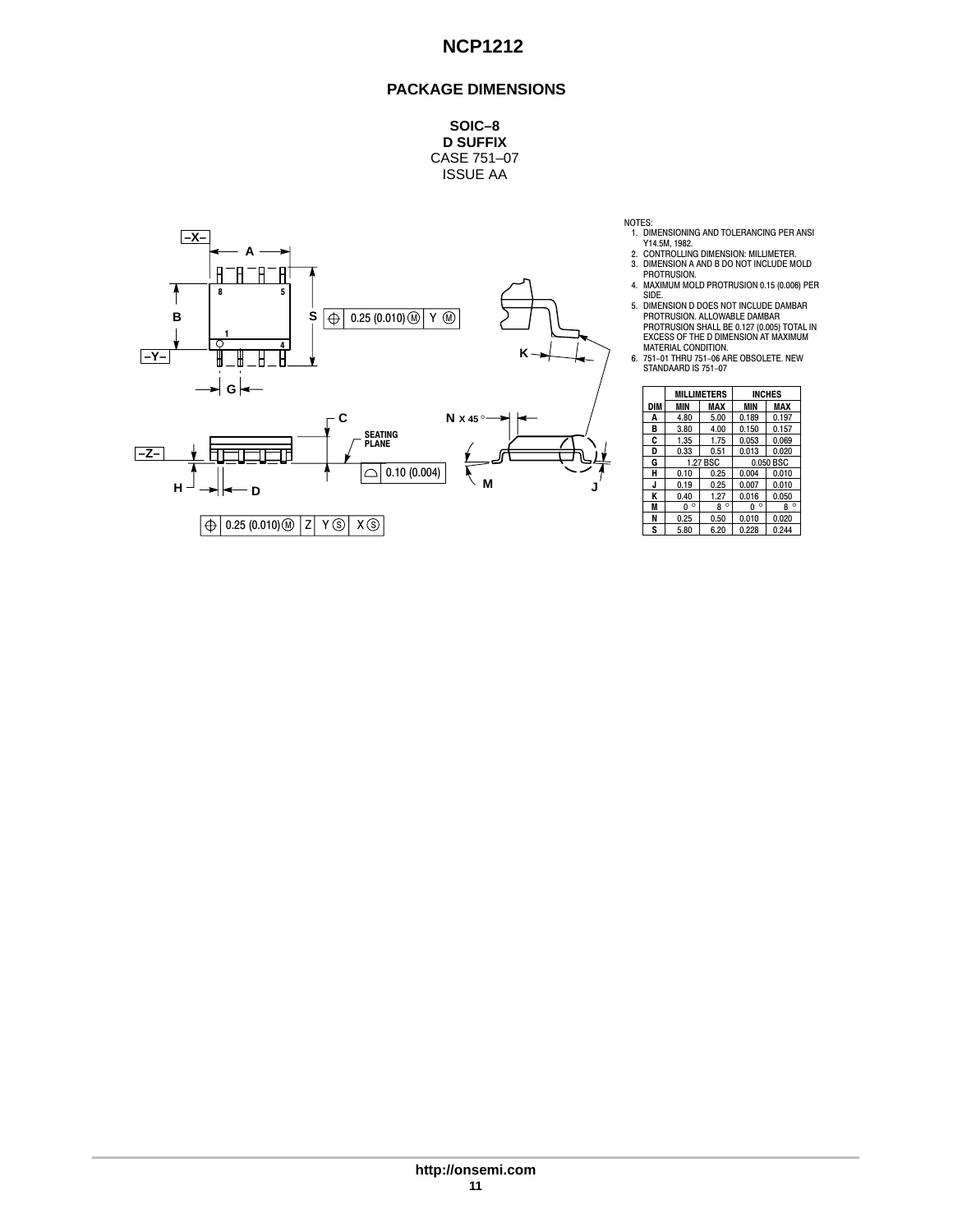## **PACKAGE DIMENSIONS**

**SOIC–8 D SUFFIX** CASE 751–07 ISSUE AA



NOTES:

- 
- 1. DIMENSIONING AND TOLERANCING PER ANSI<br>Y14.5M, 1982.<br>2. CONTROLLING DIMENSION: MILLIMETER.<br>3. DIMENSION A AND B DO NOT INCLUDE MOLD<br>PROTRUSION.<br>4. MAXIMUM MOLD PROTRUSION 0.15 (0.006) PER<br>4. MAXIMUM MOLD PROTRUSION 0.15
- 
- 
- SIDE.<br>
SIDENSION D DOES NOT INCLUDE DAMBAR<br>
PROTRUSION. ALLOWABLE DAMBAR<br>
PROTRUSION SHALL BE 0.127 (0.005) TOTAL IN<br>
EXCESS OF THE D DIMENSION AT MAXIMUM<br>
MATERIAL CONDITION.<br>
6. 751-01 THRU 751-06 ARE OBSOLETE. NEW<br>
STAN
- 

|     |              | <b>MILLIMETERS</b> | <b>INCHES</b> |                |  |
|-----|--------------|--------------------|---------------|----------------|--|
| DIM | <b>MIN</b>   | MAX                | <b>MIN</b>    | <b>MAX</b>     |  |
| A   | 4.80         | 5.00               | 0.189         | 0.197          |  |
| в   | 3.80         | 4.00               | 0.150         | 0.157          |  |
| C   | 1.35         | 1.75               | 0.053         | 0.069<br>0.020 |  |
| D   | 0.33         | 0.51               | 0.013         |                |  |
| G   | 1.27 BSC     |                    | 0.050 BSC     |                |  |
| н   | 0.10         | 0.25               | 0.004         | 0.010          |  |
| J   | 0.19         | 0.25               | 0.007         | 0.010          |  |
| ĸ   | 0.40         | 1.27               | 0.016         | 0.050          |  |
| M   | $\circ$<br>0 | $\circ$<br>8       | $\circ$<br>0  | $\circ$<br>8   |  |
| N   | 0.25         | 0.50               | 0.010         | 0.020          |  |
| S   | 5.80         | 6.20               | 0.228         | 0.244          |  |